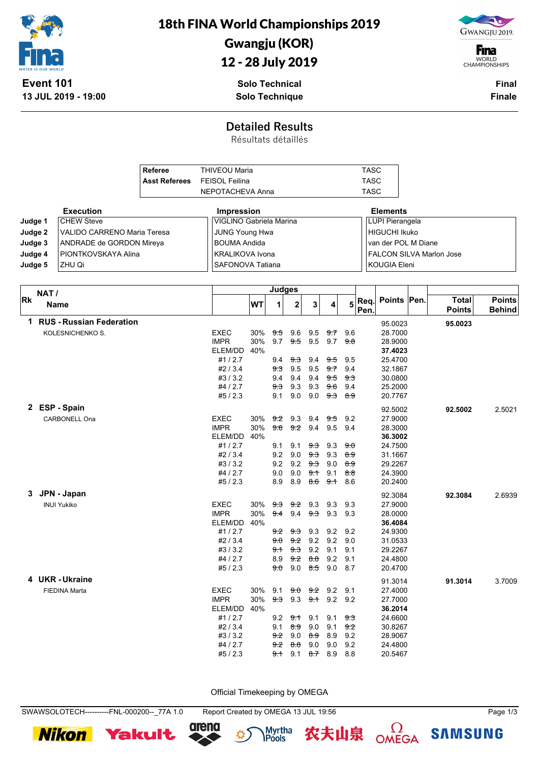

18th FINA World Championships 2019

#### Gwangju (KOR)

12 - 28 July 2019



**F**ina WORLD<br>CHAMPIONSHIPS

**13 JUL 2019 - 19:00**

**Solo Technical Solo Technique**

**Final Finale**

#### **Detailed Results**

Résultats détaillés

| Referee                             | <b>THIVEOU Maria</b> | TASC |
|-------------------------------------|----------------------|------|
| <b>Asst Referees</b> FEISOL Feilina |                      | TASC |
|                                     | NEPOTACHEVA Anna     | TASC |

|         | <b>Execution</b>            | <b>Impression</b>       | <b>Elements</b>                 |
|---------|-----------------------------|-------------------------|---------------------------------|
| Judge 1 | <b>CHEW Steve</b>           | VIGLINO Gabriela Marina | LUPI Pierangela                 |
| Judge 2 | VALIDO CARRENO Maria Teresa | JUNG Young Hwa          | HIGUCHI Ikuko                   |
| Judge 3 | ANDRADE de GORDON Mireya    | <b>BOUMA Andida</b>     | van der POL M Diane             |
| Judge 4 | PIONTKOVSKAYA Alina         | KRALIKOVA Ivona         | <b>FALCON SILVA Marlon Jose</b> |
| Judge 5 | IZHU Qi                     | SAFONOVA Tatiana        | KOUGIA Eleni                    |

|           | NAT/                       | Judges      |     |     |                |                |           |                    |              |             |                               |                                |
|-----------|----------------------------|-------------|-----|-----|----------------|----------------|-----------|--------------------|--------------|-------------|-------------------------------|--------------------------------|
| <b>Rk</b> | <b>Name</b>                |             | WT  | 1   | $\mathbf 2$    | 3              | 4         | 5                  | Req.<br>Pen. | Points Pen. | <b>Total</b><br><b>Points</b> | <b>Points</b><br><b>Behind</b> |
|           | 1 RUS - Russian Federation |             |     |     |                |                |           |                    |              | 95.0023     | 95.0023                       |                                |
|           | KOLESNICHENKO S.           | <b>EXEC</b> | 30% | 9.5 | 9.6            | 9.5            | 9.7       | 9.6                |              | 28.7000     |                               |                                |
|           |                            | <b>IMPR</b> | 30% | 9.7 | 9.5            | 9.5            | 9.7       | 9.8                |              | 28.9000     |                               |                                |
|           |                            | ELEM/DD     | 40% |     |                |                |           |                    |              | 37.4023     |                               |                                |
|           |                            | #1/2.7      |     | 9.4 | 9.3            | 9.4            | 9.5       | 9.5                |              | 25.4700     |                               |                                |
|           |                            | #2/3.4      |     | 9.3 | 9.5            | 9.5            | 9.7       | 9.4                |              | 32.1867     |                               |                                |
|           |                            | #3/3.2      |     | 9.4 | 9.4            | 9.4            | 9.5       | 9.3                |              | 30.0800     |                               |                                |
|           |                            | #4/2.7      |     | 9.3 | 9.3            | 9.3            | 9.6       | 9.4                |              | 25.2000     |                               |                                |
|           |                            | #5/2.3      |     | 9.1 | 9.0            | 9.0            |           | <del>9.3 8.9</del> |              | 20.7767     |                               |                                |
|           | 2 ESP-Spain                |             |     |     |                |                |           |                    |              | 92.5002     | 92.5002                       | 2.5021                         |
|           | CARBONELL Ona              | <b>EXEC</b> | 30% | 9.2 | 9.3            | 9.4            | 9.5       | 9.2                |              | 27.9000     |                               |                                |
|           |                            | <b>IMPR</b> | 30% | 9.6 | 9.2            | 9.4            | 9.5       | 9.4                |              | 28.3000     |                               |                                |
|           |                            | ELEM/DD     | 40% |     |                |                |           |                    |              | 36.3002     |                               |                                |
|           |                            | #1/2.7      |     | 9.1 | 9.1            | 9.3            | 9.3       | 9.0                |              | 24.7500     |                               |                                |
|           |                            | #2/3.4      |     | 9.2 | 9.0            | $9-3$          | 9.3       | 8.9                |              | 31.1667     |                               |                                |
|           |                            | #3/3.2      |     | 9.2 | 9.2            | 9.3            | 9.0       | 8.9                |              | 29.2267     |                               |                                |
|           |                            | #4/2.7      |     | 9.0 | 9.0            | 9.1            | 9.1       | 8.8                |              | 24.3900     |                               |                                |
|           |                            | #5/2.3      |     | 8.9 | 8.9            | <del>8.6</del> | 9.1       | 8.6                |              | 20.2400     |                               |                                |
| 3.        | JPN - Japan                |             |     |     |                |                |           |                    |              | 92.3084     | 92.3084                       | 2.6939                         |
|           | <b>INUI Yukiko</b>         | <b>EXEC</b> | 30% | 9.3 | 9.2            | 9.3            | 9.3       | 9.3                |              | 27.9000     |                               |                                |
|           |                            | <b>IMPR</b> | 30% | 9.4 | 9.4            | <del>9.3</del> | 9.3       | 9.3                |              | 28.0000     |                               |                                |
|           |                            | ELEM/DD     | 40% |     |                |                |           |                    |              | 36.4084     |                               |                                |
|           |                            | #1/2.7      |     | 9.2 | <del>9.3</del> | 9.3            | 9.2       | 9.2                |              | 24.9300     |                               |                                |
|           |                            | #2/3.4      |     | 9.0 | 9.2            | 9.2            | 9.2       | 9.0                |              | 31.0533     |                               |                                |
|           |                            | #3/3.2      |     | 9.1 | 9.3            | 9.2            | 9.1       | 9.1                |              | 29.2267     |                               |                                |
|           |                            | #4 / 2.7    |     | 8.9 | 9.2            | 8.8            | 9.2       | 9.1                |              | 24.4800     |                               |                                |
|           |                            | #5/2.3      |     | 9.0 | 9.0            | <del>8.5</del> | 9.0       | 8.7                |              | 20.4700     |                               |                                |
|           | 4 UKR-Ukraine              |             |     |     |                |                |           |                    |              | 91.3014     | 91.3014                       | 3.7009                         |
|           | <b>FIEDINA Marta</b>       | <b>EXEC</b> | 30% | 9.1 | 9.0            |                | $9.2$ 9.2 | 9.1                |              | 27.4000     |                               |                                |
|           |                            | <b>IMPR</b> | 30% | 9.3 | 9.3            | 9.1            | 9.2       | 9.2                |              | 27.7000     |                               |                                |
|           |                            | ELEM/DD     | 40% |     |                |                |           |                    |              | 36.2014     |                               |                                |
|           |                            | #1/2.7      |     | 9.2 | 9.1            | 9.1            | 9.1       | 9.3                |              | 24.6600     |                               |                                |
|           |                            | #2/3.4      |     | 9.1 | 89             | 9.0            | 9.1       | 9.2                |              | 30.8267     |                               |                                |
|           |                            | #3/3.2      |     | 9.2 | 9.0            | 8.9            | 8.9       | 9.2                |              | 28.9067     |                               |                                |
|           |                            | #4 / 2.7    |     | 9.2 | 8.8            | 9.0            | 9.0       | 9.2                |              | 24.4800     |                               |                                |
|           |                            | #5/2.3      |     | 9.1 | 9.1            | <del>8.7</del> | 8.9       | 8.8                |              | 20.5467     |                               |                                |

Official Timekeeping by OMEGA

**Nikon** 





农夫山泉





**SAMSUNG**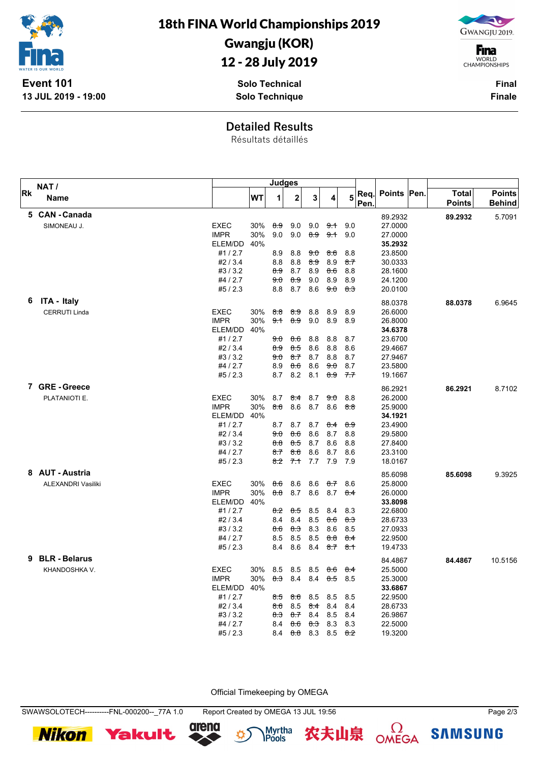

18th FINA World Championships 2019

## Gwangju (KOR)

## 12 - 28 July 2019

**Solo Technical Solo Technique**



**F**ina WORLD<br>CHAMPIONSHIPS

> **Final Finale**

**Detailed Results**

Résultats détaillés

|           | NAT /                     |                    | <b>Judges</b> |                |                |            |            |                |      |                    |               |               |
|-----------|---------------------------|--------------------|---------------|----------------|----------------|------------|------------|----------------|------|--------------------|---------------|---------------|
| <b>Rk</b> | <b>Name</b>               |                    | <b>WT</b>     | 1              | $\mathbf{2}$   | 3          | 4          | 5              | Req. | Points   Pen.      | <b>Total</b>  | <b>Points</b> |
|           |                           |                    |               |                |                |            |            |                | Pen. |                    | <b>Points</b> | <b>Behind</b> |
|           | 5 CAN - Canada            |                    |               |                |                |            |            |                |      | 89.2932            | 89.2932       | 5.7091        |
|           | SIMONEAU J.               | <b>EXEC</b>        | 30%           | 8.9            | 9.0            | 9.0        | 9.1        | 9.0            |      | 27.0000            |               |               |
|           |                           | <b>IMPR</b>        | 30%           | 9.0            | 9.0            | 8.9        | 9.1        | 9.0            |      | 27.0000            |               |               |
|           |                           | ELEM/DD            | 40%           |                |                |            |            |                |      | 35.2932            |               |               |
|           |                           | #1/2.7             |               | 8.9            | 8.8            | 9.0        | 8.6        | 8.8            |      | 23.8500            |               |               |
|           |                           | #2/3.4             |               | 8.8            | 8.8            | 89<br>8.9  | 8.9        | 8.7<br>8.8     |      | 30.0333            |               |               |
|           |                           | #3/3.2<br>#4 / 2.7 |               | 8.9<br>9.0     | 8.7<br>8.9     | 9.0        | 8.6<br>8.9 | 8.9            |      | 28.1600<br>24.1200 |               |               |
|           |                           | #5/2.3             |               | 8.8            | 8.7            | 8.6        | 9.0        | <del>8.3</del> |      | 20.0100            |               |               |
| 6         | ITA - Italy               |                    |               |                |                |            |            |                |      |                    |               |               |
|           |                           | <b>EXEC</b>        |               |                |                |            |            |                |      | 88.0378            | 88.0378       | 6.9645        |
|           | <b>CERRUTI Linda</b>      | <b>IMPR</b>        | 30%<br>30%    | 8.8<br>9.1     | 89<br>8.9      | 8.8<br>9.0 | 8.9<br>8.9 | 8.9<br>8.9     |      | 26.6000<br>26.8000 |               |               |
|           |                           | ELEM/DD            | 40%           |                |                |            |            |                |      | 34.6378            |               |               |
|           |                           | #1/2.7             |               | <del>9.0</del> | <del>8.6</del> | 8.8        | 8.8        | 8.7            |      | 23.6700            |               |               |
|           |                           | #2/3.4             |               | 8.9            | 8.5            | 8.6        | 8.8        | 8.6            |      | 29.4667            |               |               |
|           |                           | #3/3.2             |               | 90             | 8.7            | 8.7        | 8.8        | 8.7            |      | 27.9467            |               |               |
|           |                           | #4 / 2.7           |               | 8.9            | 8.6            | 8.6        | 9.0        | 8.7            |      | 23.5800            |               |               |
|           |                           | #5/2.3             |               | 8.7            | 8.2            | 8.1        | 8.9        | 7.7            |      | 19.1667            |               |               |
|           | 7 GRE-Greece              |                    |               |                |                |            |            |                |      | 86.2921            | 86.2921       | 8.7102        |
|           | PLATANIOTI E.             | <b>EXEC</b>        | 30%           | 8.7            | 8.4            | 8.7        | 9.0        | 8.8            |      | 26.2000            |               |               |
|           |                           | <b>IMPR</b>        | 30%           | 8.6            | 8.6            | 8.7        | 8.6        | 8.8            |      | 25.9000            |               |               |
|           |                           | ELEM/DD            | 40%           |                |                |            |            |                |      | 34.1921            |               |               |
|           |                           | #1/2.7             |               | 8.7            | 8.7            | 8.7        | $8-4$      | <del>89</del>  |      | 23.4900            |               |               |
|           |                           | #2/3.4             |               | 9.0            | 86             | 8.6        | 8.7        | 8.8            |      | 29.5800            |               |               |
|           |                           | #3/3.2             |               | 8.8            | 8.5            | 8.7        | 8.6        | 8.8            |      | 27.8400            |               |               |
|           |                           | #4 / 2.7           |               | 8.7            | <del>86</del>  | 8.6        | 8.7        | 8.6            |      | 23.3100            |               |               |
|           |                           | #5/2.3             |               | 8.2            | 7.1            | 7.7        | 7.9        | 7.9            |      | 18.0167            |               |               |
|           | 8 AUT - Austria           |                    |               |                |                |            |            |                |      | 85.6098            | 85.6098       | 9.3925        |
|           | <b>ALEXANDRI Vasiliki</b> | <b>EXEC</b>        | 30%           | 8.6            | 8.6            | 8.6        | 8.7        | 8.6            |      | 25.8000            |               |               |
|           |                           | <b>IMPR</b>        | 30%           | 8.8            | 8.7            | 8.6        | 8.7        | 8.4            |      | 26.0000            |               |               |
|           |                           | ELEM/DD            | 40%           |                |                |            |            |                |      | 33.8098            |               |               |
|           |                           | #1/2.7             |               | 8.2            | 8.5            | 8.5        | 8.4        | 8.3            |      | 22.6800            |               |               |
|           |                           | #2/3.4             |               | 8.4            | 8.4            | 8.5        | 8.6        | <del>8.3</del> |      | 28.6733            |               |               |
|           |                           | #3/3.2             |               | 8.6            | 83             | 8.3        | 8.6        | 8.5            |      | 27.0933            |               |               |
|           |                           | #4 / 2.7           |               | 8.5            | 8.5            | 8.5        | 8.8        | 8.4            |      | 22.9500            |               |               |
|           |                           | #5/2.3             |               | 8.4            | 8.6            | 8.4        | $8 - 7$    | 8.1            |      | 19.4733            |               |               |
|           | 9 BLR - Belarus           |                    |               |                |                |            |            |                |      | 84.4867            | 84.4867       | 10.5156       |
|           | KHANDOSHKA V.             | <b>EXEC</b>        | 30%           | 8.5            | 8.5            | 8.5        | 86         | $8-4$          |      | 25.5000            |               |               |
|           |                           | <b>IMPR</b>        | 30%           | 8.3            | 8.4            | 8.4        | 8.5        | 8.5            |      | 25.3000            |               |               |
|           |                           | ELEM/DD            | 40%           |                |                |            |            |                |      | 33.6867            |               |               |
|           |                           | #1/2.7             |               | 8.5            | 86             | 8.5        | 8.5        | 8.5            |      | 22.9500            |               |               |
|           |                           | #2/3.4             |               | 8.6            | 8.5            | 8.4        | 8.4        | 8.4            |      | 28.6733            |               |               |
|           |                           | #3/3.2<br>#4 / 2.7 |               | 8.3            | 87<br>86       | 8.4<br>8.3 | 8.5<br>8.3 | 8.4<br>8.3     |      | 26.9867<br>22.5000 |               |               |
|           |                           | #5/2.3             |               | 8.4<br>8.4     | 8.8            | 8.3        | 8.5        | 8.2            |      | 19.3200            |               |               |
|           |                           |                    |               |                |                |            |            |                |      |                    |               |               |

Official Timekeeping by OMEGA

SWAWSOLOTECH----------FNL-000200--\_77A 1.0 Report Created by OMEGA 13 JUL 19:56 Page 2/3





Myrtha<br>**IPools** 农夫山泉